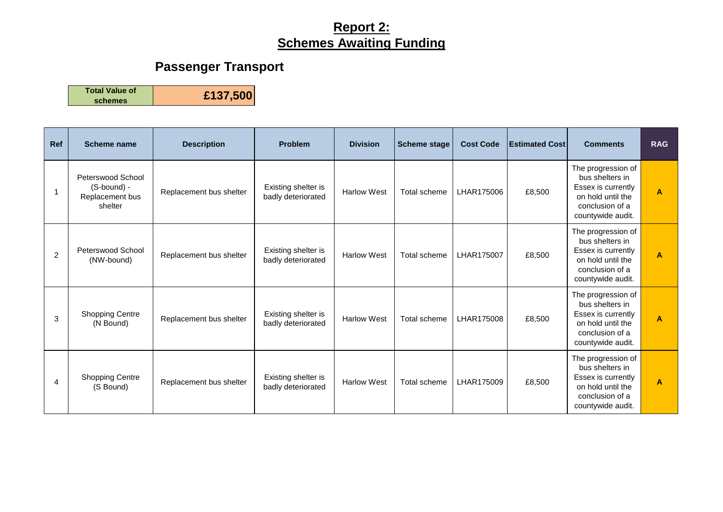# **Passenger Transport**

**Total Value of** 

| <b>Ref</b>     | <b>Scheme name</b>                                             | <b>Description</b>      | <b>Problem</b>                            | <b>Division</b>    | <b>Scheme stage</b> | <b>Cost Code</b> | <b>Estimated Cost</b> | <b>Comments</b>                                                                                                          | <b>RAG</b>     |
|----------------|----------------------------------------------------------------|-------------------------|-------------------------------------------|--------------------|---------------------|------------------|-----------------------|--------------------------------------------------------------------------------------------------------------------------|----------------|
|                | Peterswood School<br>(S-bound) -<br>Replacement bus<br>shelter | Replacement bus shelter | Existing shelter is<br>badly deteriorated | <b>Harlow West</b> | Total scheme        | LHAR175006       | £8,500                | The progression of<br>bus shelters in<br>Essex is currently<br>on hold until the<br>conclusion of a<br>countywide audit. | $\overline{A}$ |
| $\overline{2}$ | Peterswood School<br>(NW-bound)                                | Replacement bus shelter | Existing shelter is<br>badly deteriorated | <b>Harlow West</b> | Total scheme        | LHAR175007       | £8,500                | The progression of<br>bus shelters in<br>Essex is currently<br>on hold until the<br>conclusion of a<br>countywide audit. | $\overline{A}$ |
| 3              | <b>Shopping Centre</b><br>(N Bound)                            | Replacement bus shelter | Existing shelter is<br>badly deteriorated | <b>Harlow West</b> | Total scheme        | LHAR175008       | £8,500                | The progression of<br>bus shelters in<br>Essex is currently<br>on hold until the<br>conclusion of a<br>countywide audit. | $\overline{A}$ |
| 4              | <b>Shopping Centre</b><br>(S Bound)                            | Replacement bus shelter | Existing shelter is<br>badly deteriorated | <b>Harlow West</b> | Total scheme        | LHAR175009       | £8,500                | The progression of<br>bus shelters in<br>Essex is currently<br>on hold until the<br>conclusion of a<br>countywide audit. | $\overline{A}$ |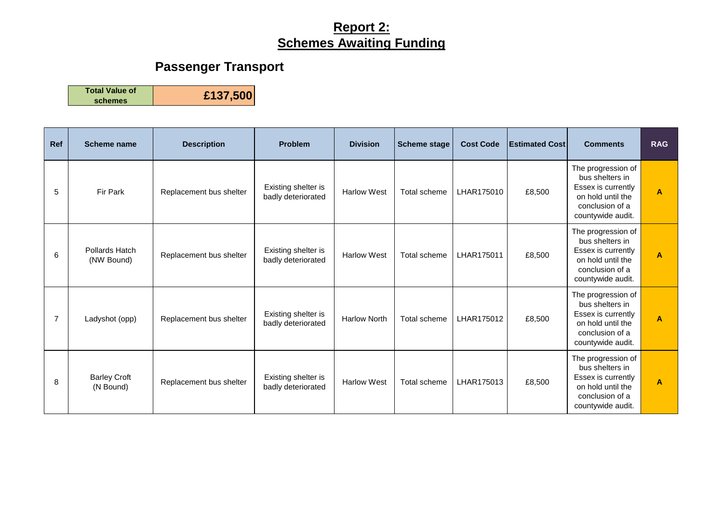# **Passenger Transport**

**Total Value of** 

| <b>Ref</b> | <b>Scheme name</b>               | <b>Description</b>      | <b>Problem</b>                            | <b>Division</b>     | <b>Scheme stage</b> | <b>Cost Code</b> | <b>Estimated Cost</b> | <b>Comments</b>                                                                                                          | <b>RAG</b>     |
|------------|----------------------------------|-------------------------|-------------------------------------------|---------------------|---------------------|------------------|-----------------------|--------------------------------------------------------------------------------------------------------------------------|----------------|
| 5          | Fir Park                         | Replacement bus shelter | Existing shelter is<br>badly deteriorated | <b>Harlow West</b>  | Total scheme        | LHAR175010       | £8,500                | The progression of<br>bus shelters in<br>Essex is currently<br>on hold until the<br>conclusion of a<br>countywide audit. | $\mathbf{A}$   |
| 6          | Pollards Hatch<br>(NW Bound)     | Replacement bus shelter | Existing shelter is<br>badly deteriorated | <b>Harlow West</b>  | Total scheme        | LHAR175011       | £8,500                | The progression of<br>bus shelters in<br>Essex is currently<br>on hold until the<br>conclusion of a<br>countywide audit. | $\mathbf{A}$   |
| 7          | Ladyshot (opp)                   | Replacement bus shelter | Existing shelter is<br>badly deteriorated | <b>Harlow North</b> | Total scheme        | LHAR175012       | £8,500                | The progression of<br>bus shelters in<br>Essex is currently<br>on hold until the<br>conclusion of a<br>countywide audit. | $\mathbf{A}$   |
| 8          | <b>Barley Croft</b><br>(N Bound) | Replacement bus shelter | Existing shelter is<br>badly deteriorated | <b>Harlow West</b>  | Total scheme        | LHAR175013       | £8,500                | The progression of<br>bus shelters in<br>Essex is currently<br>on hold until the<br>conclusion of a<br>countywide audit. | $\overline{A}$ |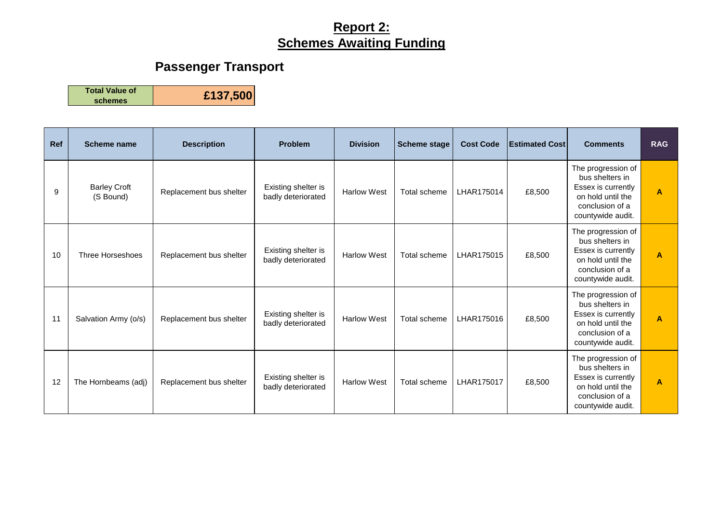# **Passenger Transport**

**Total Value of** 

| <b>Ref</b> | <b>Scheme name</b>               | <b>Description</b>      | <b>Problem</b>                            | <b>Division</b>    | <b>Scheme stage</b> | <b>Cost Code</b> | <b>Estimated Cost</b> | <b>Comments</b>                                                                                                          | <b>RAG</b>     |
|------------|----------------------------------|-------------------------|-------------------------------------------|--------------------|---------------------|------------------|-----------------------|--------------------------------------------------------------------------------------------------------------------------|----------------|
| 9          | <b>Barley Croft</b><br>(S Bound) | Replacement bus shelter | Existing shelter is<br>badly deteriorated | <b>Harlow West</b> | Total scheme        | LHAR175014       | £8,500                | The progression of<br>bus shelters in<br>Essex is currently<br>on hold until the<br>conclusion of a<br>countywide audit. | $\overline{A}$ |
| 10         | Three Horseshoes                 | Replacement bus shelter | Existing shelter is<br>badly deteriorated | <b>Harlow West</b> | Total scheme        | LHAR175015       | £8,500                | The progression of<br>bus shelters in<br>Essex is currently<br>on hold until the<br>conclusion of a<br>countywide audit. | $\mathbf{A}$   |
| 11         | Salvation Army (o/s)             | Replacement bus shelter | Existing shelter is<br>badly deteriorated | <b>Harlow West</b> | Total scheme        | LHAR175016       | £8,500                | The progression of<br>bus shelters in<br>Essex is currently<br>on hold until the<br>conclusion of a<br>countywide audit. | $\mathbf{A}$   |
| 12         | The Hornbeams (adj)              | Replacement bus shelter | Existing shelter is<br>badly deteriorated | <b>Harlow West</b> | Total scheme        | LHAR175017       | £8,500                | The progression of<br>bus shelters in<br>Essex is currently<br>on hold until the<br>conclusion of a<br>countywide audit. | $\mathbf{A}$   |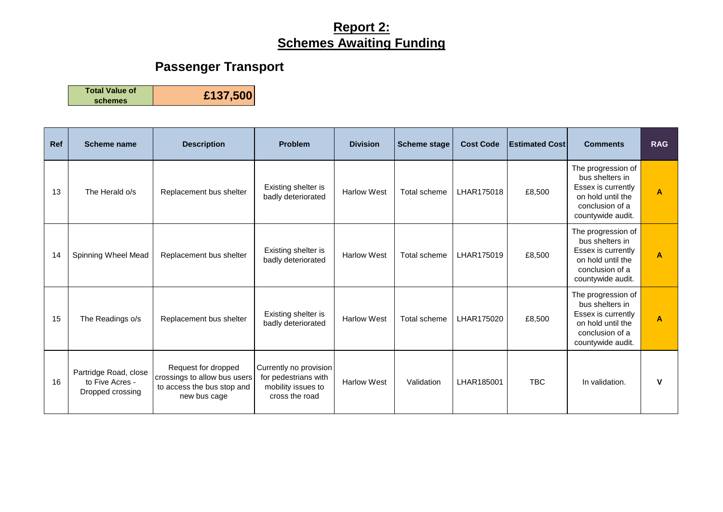# **Passenger Transport**

**Total Value of** 

| Ref | <b>Scheme name</b>                                           | <b>Description</b>                                                                                | <b>Problem</b>                                                                         | <b>Division</b>    | <b>Scheme stage</b> | <b>Cost Code</b> | <b>Estimated Cost</b> | <b>Comments</b>                                                                                                          | <b>RAG</b>              |
|-----|--------------------------------------------------------------|---------------------------------------------------------------------------------------------------|----------------------------------------------------------------------------------------|--------------------|---------------------|------------------|-----------------------|--------------------------------------------------------------------------------------------------------------------------|-------------------------|
| 13  | The Herald o/s                                               | Replacement bus shelter                                                                           | Existing shelter is<br>badly deteriorated                                              | <b>Harlow West</b> | Total scheme        | LHAR175018       | £8,500                | The progression of<br>bus shelters in<br>Essex is currently<br>on hold until the<br>conclusion of a<br>countywide audit. | $\overline{A}$          |
| 14  | Spinning Wheel Mead                                          | Replacement bus shelter                                                                           | Existing shelter is<br>badly deteriorated                                              | <b>Harlow West</b> | Total scheme        | LHAR175019       | £8,500                | The progression of<br>bus shelters in<br>Essex is currently<br>on hold until the<br>conclusion of a<br>countywide audit. | $\overline{\mathsf{A}}$ |
| 15  | The Readings o/s                                             | Replacement bus shelter                                                                           | Existing shelter is<br>badly deteriorated                                              | <b>Harlow West</b> | Total scheme        | LHAR175020       | £8,500                | The progression of<br>bus shelters in<br>Essex is currently<br>on hold until the<br>conclusion of a<br>countywide audit. | $\overline{A}$          |
| 16  | Partridge Road, close<br>to Five Acres -<br>Dropped crossing | Request for dropped<br>crossings to allow bus users<br>to access the bus stop and<br>new bus cage | Currently no provision<br>for pedestrians with<br>mobility issues to<br>cross the road | <b>Harlow West</b> | Validation          | LHAR185001       | <b>TBC</b>            | In validation.                                                                                                           | v                       |